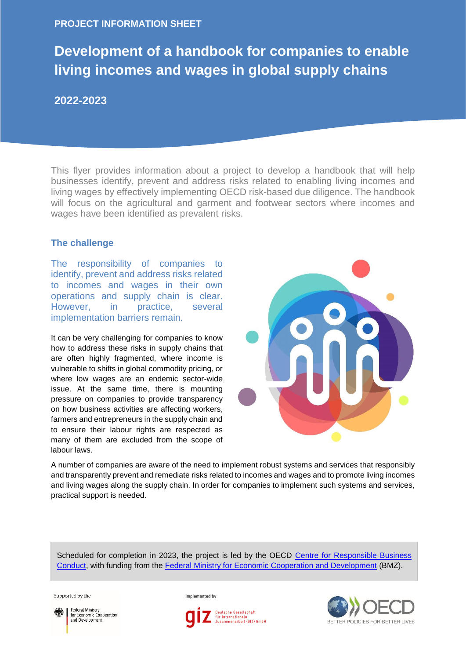### **PROJECT INFORMATION SHEET**

# **Development of a handbook for companies to enable living incomes and wages in global supply chains**

## **2022-2023**

This flyer provides information about a project to develop a handbook that will help businesses identify, prevent and address risks related to enabling living incomes and living wages by effectively implementing OECD risk-based due diligence. The handbook will focus on the agricultural and garment and footwear sectors where incomes and wages have been identified as prevalent risks.

#### **The challenge**

The responsibility of companies to identify, prevent and address risks related to incomes and wages in their own operations and supply chain is clear. However, in practice, several implementation barriers remain.

It can be very challenging for companies to know how to address these risks in supply chains that are often highly fragmented, where income is vulnerable to shifts in global commodity pricing, or where low wages are an endemic sector-wide issue. At the same time, there is mounting pressure on companies to provide transparency on how business activities are affecting workers, farmers and entrepreneurs in the supply chain and to ensure their labour rights are respected as many of them are excluded from the scope of labour laws.



A number of companies are aware of the need to implement robust systems and services that responsibly and transparently prevent and remediate risks related to incomes and wages and to promote living incomes and living wages along the supply chain. In order for companies to implement such systems and services, practical support is needed.

Scheduled for completion in 2023, the project is led by the OECD [Centre for Responsible Business](https://mneguidelines.oecd.org/)  [Conduct,](https://mneguidelines.oecd.org/) with funding from the [Federal Ministry for Economic Cooperation and Development](https://www.bmz.de/en) (BMZ).

Supported by the



Federal Ministry<br>for Economic Cooperation and Development

Implemented by



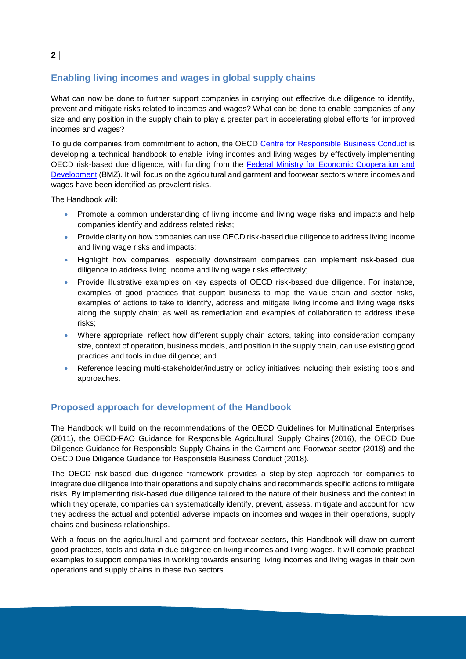# **Enabling living incomes and wages in global supply chains**

What can now be done to further support companies in carrying out effective due diligence to identify, prevent and mitigate risks related to incomes and wages? What can be done to enable companies of any size and any position in the supply chain to play a greater part in accelerating global efforts for improved incomes and wages?

To guide companies from commitment to action, the OECD [Centre for Responsible Business Conduct](https://mneguidelines.oecd.org/) is developing a technical handbook to enable living incomes and living wages by effectively implementing OECD risk-based due diligence, with funding from the [Federal Ministry for Economic Cooperation and](https://www.bmz.de/en)  [Development](https://www.bmz.de/en) (BMZ). It will focus on the agricultural and garment and footwear sectors where incomes and wages have been identified as prevalent risks.

The Handbook will:

- Promote a common understanding of living income and living wage risks and impacts and help companies identify and address related risks;
- Provide clarity on how companies can use OECD risk-based due diligence to address living income and living wage risks and impacts;
- Highlight how companies, especially downstream companies can implement risk-based due diligence to address living income and living wage risks effectively;
- Provide illustrative examples on key aspects of OECD risk-based due diligence. For instance, examples of good practices that support business to map the value chain and sector risks, examples of actions to take to identify, address and mitigate living income and living wage risks along the supply chain; as well as remediation and examples of collaboration to address these risks;
- Where appropriate, reflect how different supply chain actors, taking into consideration company size, context of operation, business models, and position in the supply chain, can use existing good practices and tools in due diligence; and
- Reference leading multi-stakeholder/industry or policy initiatives including their existing tools and approaches.

### **Proposed approach for development of the Handbook**

The Handbook will build on the recommendations of the OECD Guidelines for Multinational Enterprises (2011), the OECD-FAO Guidance for Responsible Agricultural Supply Chains (2016), the OECD Due Diligence Guidance for Responsible Supply Chains in the Garment and Footwear sector (2018) and the OECD Due Diligence Guidance for Responsible Business Conduct (2018).

The OECD risk-based due diligence framework provides a step-by-step approach for companies to integrate due diligence into their operations and supply chains and recommends specific actions to mitigate risks. By implementing risk-based due diligence tailored to the nature of their business and the context in which they operate, companies can systematically identify, prevent, assess, mitigate and account for how they address the actual and potential adverse impacts on incomes and wages in their operations, supply chains and business relationships.

With a focus on the agricultural and garment and footwear sectors, this Handbook will draw on current good practices, tools and data in due diligence on living incomes and living wages. It will compile practical examples to support companies in working towards ensuring living incomes and living wages in their own operations and supply chains in these two sectors.

### **2**